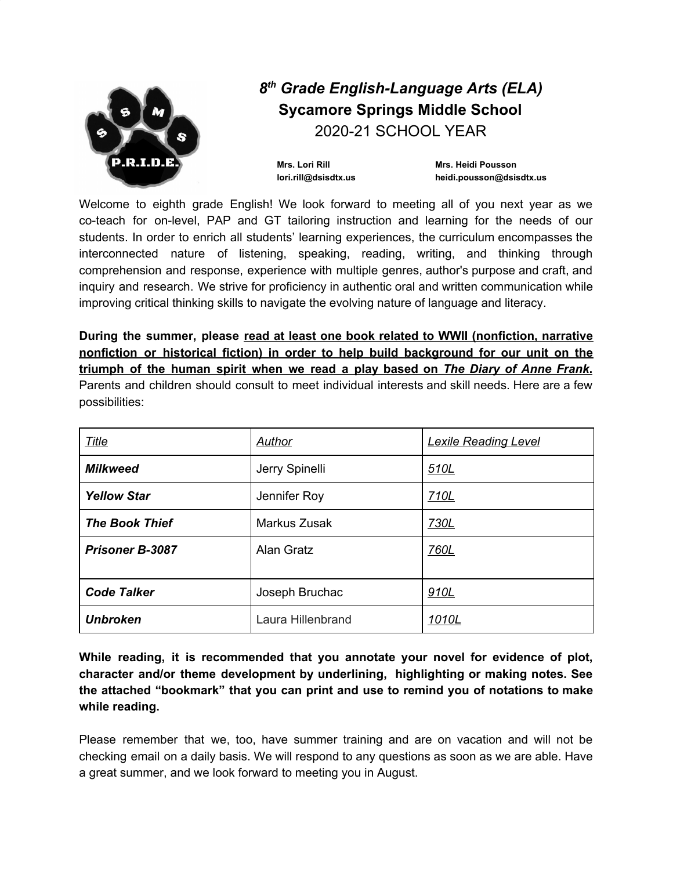

Welcome to eighth grade English! We look forward to meeting all of you next year as we co-teach for on-level, PAP and GT tailoring instruction and learning for the needs of our students. In order to enrich all students' learning experiences, the curriculum encompasses the interconnected nature of listening, speaking, reading, writing, and thinking through comprehension and response, experience with multiple genres, author's purpose and craft, and inquiry and research. We strive for proficiency in authentic oral and written communication while improving critical thinking skills to navigate the evolving nature of language and literacy.

**During the summer, please read at least one book related to WWII (nonfiction, narrative nonfiction or historical fiction) in order to help build background for our unit on the triumph of the human spirit when we read a play based on** *The Diary of Anne Frank***.** Parents and children should consult to meet individual interests and skill needs. Here are a few

| possibilities: |  |  |  |  |  |  |
|----------------|--|--|--|--|--|--|

| <b>Title</b>           | Author              | <b>Lexile Reading Level</b> |  |  |
|------------------------|---------------------|-----------------------------|--|--|
| <b>Milkweed</b>        | Jerry Spinelli      | 510L                        |  |  |
| <b>Yellow Star</b>     | Jennifer Roy        | 710L                        |  |  |
| <b>The Book Thief</b>  | <b>Markus Zusak</b> | 730L                        |  |  |
| <b>Prisoner B-3087</b> | <b>Alan Gratz</b>   | 760L                        |  |  |
| <b>Code Talker</b>     | Joseph Bruchac      | 910L                        |  |  |
| <b>Unbroken</b>        | Laura Hillenbrand   | <u>1010L</u>                |  |  |

**While reading, it is recommended that you annotate your novel for evidence of plot, character and/or theme development by underlining, highlighting or making notes. See the attached "bookmark" that you can print and use to remind you of notations to make while reading.**

Please remember that we, too, have summer training and are on vacation and will not be checking email on a daily basis. We will respond to any questions as soon as we are able. Have a great summer, and we look forward to meeting you in August.